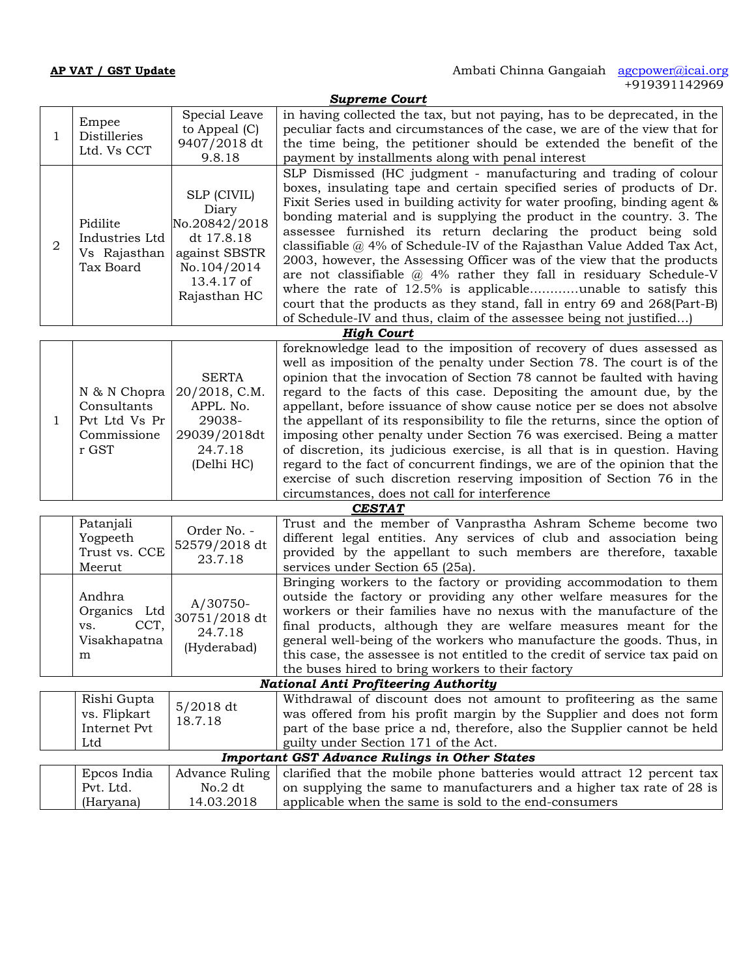*Supreme Court* 1 | Distilleries  $\begin{bmatrix} 0 & 1 & 0 \\ 0 & 0 & 0 \end{bmatrix}$ Empee  $\left| \begin{array}{c} \text{Special Leave} \\ \text{the Average 1 (G)} \end{array} \right|$ Ltd. Vs CCT  $\begin{array}{|c|c|} 9407/2018 \text{ dt} \\ 9.8.18 \end{array}$ Special Leave  $\, \mid$  in having collected the tax, but not paying, has to be deprecated, in the  $\mid$ to Appeal (C) 9407/2018 dt | the time being, the petitioner should be extended the benefit of the  $\vert$ 9.8.18 payment by installments along with penal interest peculiar facts and circumstances of the case, we are of the view that for 2 | Industries Ltd | dt 17.8.18<br>Vs Rajasthan | against SBST Pidilite  $\vert$ No.20842/2018 $\vert$   $\vert$  assesses furnished Industries Ltd against SBSTR Tax Board | No.104/2014 SLP (CIVIL) Diary<br> $\begin{bmatrix} 1 & \text{and} \\ 0 & 1 & \text{odd} \end{bmatrix}$  bonding material and is supplying the product in the country. 3. The dt 17.8.18 classifiable @ 4% of Schedule-IV of the Rajasthan Value Added Tax Act,  $\begin{array}{c|c|c|c|c} \text{gaians} & \text{cassimatic (i) to sentence IV} & \text{or because you have made factor 1a.} \\ \hline \text{No 104/9014} & 2003, \text{ however, the Assessing Officer was of the view that the products} \end{array}$ No.104/2014  $\vert$  are not classifiable  $\omega$  4% rather they fall in residuary Schedule-V 13.4.17 of Rajasthan HC  $\vert$  court that the products as they stand, fall in entry 69 and 268(Part-B) SLP Dismissed (HC judgment - manufacturing and trading of colour boxes, insulating tape and certain specified series of products of Dr. Fixit Series used in building activity for water proofing, binding agent& assessee furnished its return declaring the product being sold where the rate of 12.5% is applicable………unable to satisfy this of Schedule-IV and thus, claim of the assessee being not justified…) *High Court* 1 Pvt Ltd Vs Pr N & N Chopra | 20/2018, C.M. | regard to Consultants Commissione 29039/2018dt r GST 24.7.18  $SERTA$   $\qquad$  opinion that the invocation of Section 78 cannot be faulted with having APPL. No. 29038- the appellant of its responsibility to file the returns, since the option of 24.7.18 of discretion, its judicious exercise, is all that is in question. Having (Delhi HC) foreknowledge lead to the imposition of recovery of dues assessed as well as imposition of the penalty under Section 78. The court is of the regard to the facts of this case. Depositing the amount due, by the appellant, before issuance of show cause notice per se does not absolve imposing other penalty under Section 76 was exercised. Being a matter regard to the fact of concurrent findings, we are of the opinion that the exercise of such discretion reserving imposition of Section 76 in the circumstances, does not call for interference *CESTAT* Patanjali Yogpeeth  $52579/2018$  dt different legal ent Trust vs. CCE  $\begin{bmatrix} 32579/2016 \\ 23.7.18 \end{bmatrix}$ Meerut Order No. - 23.7.18 Provided by the appenant to such members of Trust and the member of Vanprastha Ashram Scheme become two different legal entities. Any services of club and association being provided by the appellant to such members are therefore, taxable Andhra Organics Ltd vs. CCT,  $\begin{array}{c} 0.013172016 \\ 24.718 \end{array}$ Visakhapatna  $\mathbf{m}$   $\left\{ \text{up}(\mathbf{r}) \text{h}(\mathbf{r}) \text{h}(\mathbf{r}) \text{h}(\mathbf{r}) \text{h}(\mathbf{r}) \text{h}(\mathbf{r}) \text{h}(\mathbf{r}) \text{h}(\mathbf{r}) \text{h}(\mathbf{r}) \text{h}(\mathbf{r}) \text{h}(\mathbf{r}) \text{h}(\mathbf{r}) \text{h}(\mathbf{r}) \text{h}(\mathbf{r}) \text{h}(\mathbf{r}) \text{h}(\mathbf{r}) \text{h}(\mathbf{r}) \text{h}(\mathbf{r}) \text{h}(\mathbf{$ A/30750- 30751/2018 dt  $24.7.18$  general well-being of the workers who manufacture the goods. Thus, in (Hyderabad) Bringing workers to the factory or providing accommodation to them outside the factory or providing any other welfare measures for the workers or their families have no nexus with the manufacture of the final products, although they are welfare measures meant for the the buses hired to bring workers to their factory *National Anti Profiteering Authority* Rishi Gupta vs. Flipkart Internet Pvt Ltd and the set of the set of the set of the set of the set of the set of the set of the set of the set of the 5/2018 dt 18.7.18 was offered from this profit margin by the Supplier and does not form part of the base price a nd, therefore, also the Supplier cannot be held Withdrawal of discount does not amount to profiteering as the same was offered from his profit margin by the Supplier and does not form guilty under Section 171 of the Act. *Important GST Advance Rulings in Other States* Epcos India | Advance Ruling Pvt. Ltd. (Haryana) Advance Ruling  $\vert$  clarified that the mobile phone batteries would attract 12 percent tax  $\vert$ No.2  $\mathrm{dt}$   $\;$   $\;$   $\;$  on supplying the same to manufacturers and a higher tax rate of 28 is  $\;$ 14.03.2018 applicable when the same is sold to the end-consumers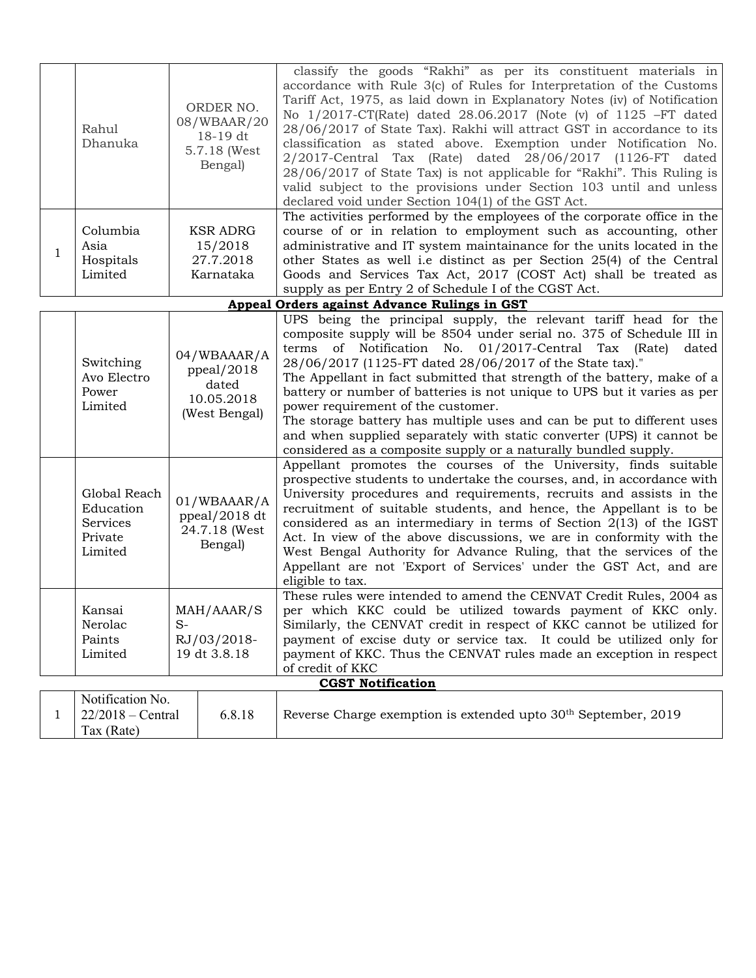|   | Rahul<br>Dhanuka                                            |                                                                                                                               | ORDER NO.<br>08/WBAAR/20<br>18-19 dt<br>5.7.18 (West<br>Bengal) | classify the goods "Rakhi" as per its constituent materials in<br>accordance with Rule 3(c) of Rules for Interpretation of the Customs<br>Tariff Act, 1975, as laid down in Explanatory Notes (iv) of Notification<br>No 1/2017-CT(Rate) dated 28.06.2017 (Note (v) of 1125 -FT dated<br>28/06/2017 of State Tax). Rakhi will attract GST in accordance to its<br>classification as stated above. Exemption under Notification No.<br>2/2017-Central Tax (Rate) dated 28/06/2017 (1126-FT dated<br>28/06/2017 of State Tax) is not applicable for "Rakhi". This Ruling is<br>valid subject to the provisions under Section 103 until and unless<br>declared void under Section 104(1) of the GST Act. |
|---|-------------------------------------------------------------|-------------------------------------------------------------------------------------------------------------------------------|-----------------------------------------------------------------|-------------------------------------------------------------------------------------------------------------------------------------------------------------------------------------------------------------------------------------------------------------------------------------------------------------------------------------------------------------------------------------------------------------------------------------------------------------------------------------------------------------------------------------------------------------------------------------------------------------------------------------------------------------------------------------------------------|
| 1 | Columbia<br>Asia<br>Hospitals<br>Limited                    | <b>KSR ADRG</b><br>15/2018<br>27.7.2018<br>Karnataka                                                                          |                                                                 | The activities performed by the employees of the corporate office in the<br>course of or in relation to employment such as accounting, other<br>administrative and IT system maintainance for the units located in the<br>other States as well i.e distinct as per Section 25(4) of the Central<br>Goods and Services Tax Act, 2017 (COST Act) shall be treated as<br>supply as per Entry 2 of Schedule I of the CGST Act.                                                                                                                                                                                                                                                                            |
|   |                                                             |                                                                                                                               |                                                                 | Appeal Orders against Advance Rulings in GST                                                                                                                                                                                                                                                                                                                                                                                                                                                                                                                                                                                                                                                          |
|   | Switching<br>Avo Electro<br>Power<br>Limited                | 04/WBAAAR/A<br>ppeal/2018<br>dated<br>10.05.2018<br>(West Bengal)<br>01/WBAAAR/A<br>ppeal/2018 dt<br>24.7.18 (West<br>Bengal) |                                                                 | UPS being the principal supply, the relevant tariff head for the<br>composite supply will be 8504 under serial no. 375 of Schedule III in<br>terms of Notification No. 01/2017-Central Tax (Rate) dated<br>28/06/2017 (1125-FT dated 28/06/2017 of the State tax)."<br>The Appellant in fact submitted that strength of the battery, make of a<br>battery or number of batteries is not unique to UPS but it varies as per<br>power requirement of the customer.<br>The storage battery has multiple uses and can be put to different uses<br>and when supplied separately with static converter (UPS) it cannot be<br>considered as a composite supply or a naturally bundled supply.                |
|   | Global Reach<br>Education<br>Services<br>Private<br>Limited |                                                                                                                               |                                                                 | Appellant promotes the courses of the University, finds suitable<br>prospective students to undertake the courses, and, in accordance with<br>University procedures and requirements, recruits and assists in the<br>recruitment of suitable students, and hence, the Appellant is to be<br>considered as an intermediary in terms of Section $2(13)$ of the IGST<br>Act. In view of the above discussions, we are in conformity with the<br>West Bengal Authority for Advance Ruling, that the services of the<br>Appellant are not 'Export of Services' under the GST Act, and are<br>eligible to tax.                                                                                              |
|   | Kansai<br>Nerolac<br>Paints<br>Limited                      | MAH/AAAR/S<br>$S-$<br>RJ/03/2018-<br>19 dt 3.8.18                                                                             |                                                                 | These rules were intended to amend the CENVAT Credit Rules, 2004 as<br>per which KKC could be utilized towards payment of KKC only.<br>Similarly, the CENVAT credit in respect of KKC cannot be utilized for<br>payment of excise duty or service tax. It could be utilized only for<br>payment of KKC. Thus the CENVAT rules made an exception in respect<br>of credit of KKC                                                                                                                                                                                                                                                                                                                        |
|   |                                                             |                                                                                                                               |                                                                 | <b>CGST Notification</b>                                                                                                                                                                                                                                                                                                                                                                                                                                                                                                                                                                                                                                                                              |
| 1 | Notification No.<br>$22/2018$ – Central<br>Tax (Rate)       |                                                                                                                               | 6.8.18                                                          | Reverse Charge exemption is extended upto 30 <sup>th</sup> September, 2019                                                                                                                                                                                                                                                                                                                                                                                                                                                                                                                                                                                                                            |